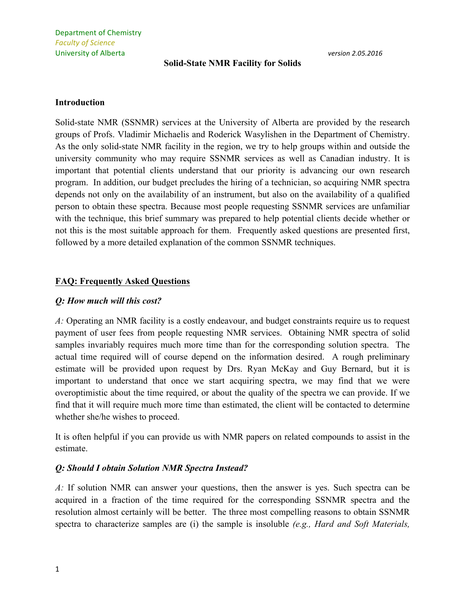### **Solid-State NMR Facility for Solids**

#### **Introduction**

Solid-state NMR (SSNMR) services at the University of Alberta are provided by the research groups of Profs. Vladimir Michaelis and Roderick Wasylishen in the Department of Chemistry. As the only solid-state NMR facility in the region, we try to help groups within and outside the university community who may require SSNMR services as well as Canadian industry. It is important that potential clients understand that our priority is advancing our own research program. In addition, our budget precludes the hiring of a technician, so acquiring NMR spectra depends not only on the availability of an instrument, but also on the availability of a qualified person to obtain these spectra. Because most people requesting SSNMR services are unfamiliar with the technique, this brief summary was prepared to help potential clients decide whether or not this is the most suitable approach for them. Frequently asked questions are presented first, followed by a more detailed explanation of the common SSNMR techniques.

## **FAQ: Frequently Asked Questions**

#### *Q: How much will this cost?*

*A:* Operating an NMR facility is a costly endeavour, and budget constraints require us to request payment of user fees from people requesting NMR services. Obtaining NMR spectra of solid samples invariably requires much more time than for the corresponding solution spectra. The actual time required will of course depend on the information desired. A rough preliminary estimate will be provided upon request by Drs. Ryan McKay and Guy Bernard, but it is important to understand that once we start acquiring spectra, we may find that we were overoptimistic about the time required, or about the quality of the spectra we can provide. If we find that it will require much more time than estimated, the client will be contacted to determine whether she/he wishes to proceed.

It is often helpful if you can provide us with NMR papers on related compounds to assist in the estimate.

# *Q: Should I obtain Solution NMR Spectra Instead?*

*A:* If solution NMR can answer your questions, then the answer is yes. Such spectra can be acquired in a fraction of the time required for the corresponding SSNMR spectra and the resolution almost certainly will be better. The three most compelling reasons to obtain SSNMR spectra to characterize samples are (i) the sample is insoluble *(e.g., Hard and Soft Materials,*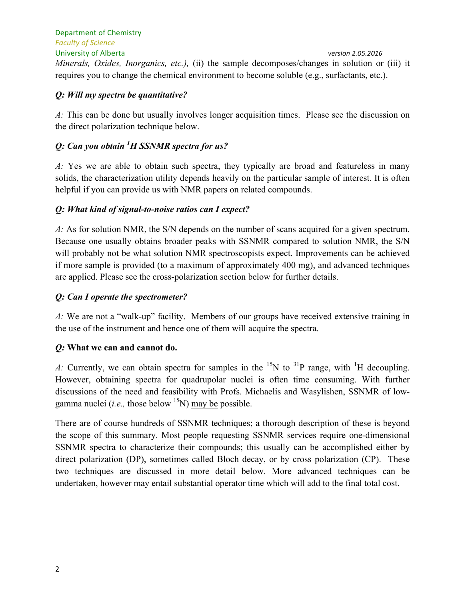Department of Chemistry *Faculty of Science* University of Alberta *version 2.05.2016 Minerals, Oxides, Inorganics, etc.),* (ii) the sample decomposes/changes in solution or (iii) it requires you to change the chemical environment to become soluble (e.g., surfactants, etc.).

# *Q: Will my spectra be quantitative?*

*A:* This can be done but usually involves longer acquisition times. Please see the discussion on the direct polarization technique below.

# *Q: Can you obtain 1 H SSNMR spectra for us?*

*A:* Yes we are able to obtain such spectra, they typically are broad and featureless in many solids, the characterization utility depends heavily on the particular sample of interest. It is often helpful if you can provide us with NMR papers on related compounds.

# *Q: What kind of signal-to-noise ratios can I expect?*

*A:* As for solution NMR, the S/N depends on the number of scans acquired for a given spectrum. Because one usually obtains broader peaks with SSNMR compared to solution NMR, the S/N will probably not be what solution NMR spectroscopists expect. Improvements can be achieved if more sample is provided (to a maximum of approximately 400 mg), and advanced techniques are applied. Please see the cross-polarization section below for further details.

# *Q: Can I operate the spectrometer?*

*A:* We are not a "walk-up" facility. Members of our groups have received extensive training in the use of the instrument and hence one of them will acquire the spectra.

# *Q:* **What we can and cannot do.**

*A:* Currently, we can obtain spectra for samples in the <sup>15</sup>N to <sup>31</sup>P range, with <sup>1</sup>H decoupling. However, obtaining spectra for quadrupolar nuclei is often time consuming. With further discussions of the need and feasibility with Profs. Michaelis and Wasylishen, SSNMR of lowgamma nuclei (*i.e.*, those below  $\binom{15}{1}$  may be possible.

There are of course hundreds of SSNMR techniques; a thorough description of these is beyond the scope of this summary. Most people requesting SSNMR services require one-dimensional SSNMR spectra to characterize their compounds; this usually can be accomplished either by direct polarization (DP), sometimes called Bloch decay, or by cross polarization (CP). These two techniques are discussed in more detail below. More advanced techniques can be undertaken, however may entail substantial operator time which will add to the final total cost.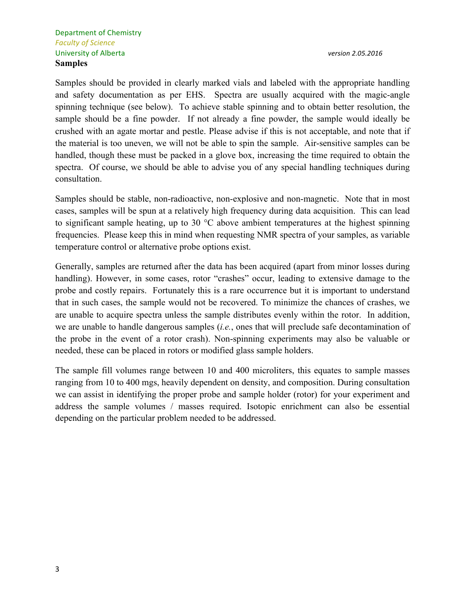Samples should be provided in clearly marked vials and labeled with the appropriate handling and safety documentation as per EHS. Spectra are usually acquired with the magic-angle spinning technique (see below). To achieve stable spinning and to obtain better resolution, the sample should be a fine powder. If not already a fine powder, the sample would ideally be crushed with an agate mortar and pestle. Please advise if this is not acceptable, and note that if the material is too uneven, we will not be able to spin the sample. Air-sensitive samples can be handled, though these must be packed in a glove box, increasing the time required to obtain the spectra. Of course, we should be able to advise you of any special handling techniques during consultation.

Samples should be stable, non-radioactive, non-explosive and non-magnetic. Note that in most cases, samples will be spun at a relatively high frequency during data acquisition. This can lead to significant sample heating, up to 30 °C above ambient temperatures at the highest spinning frequencies. Please keep this in mind when requesting NMR spectra of your samples, as variable temperature control or alternative probe options exist.

Generally, samples are returned after the data has been acquired (apart from minor losses during handling). However, in some cases, rotor "crashes" occur, leading to extensive damage to the probe and costly repairs. Fortunately this is a rare occurrence but it is important to understand that in such cases, the sample would not be recovered. To minimize the chances of crashes, we are unable to acquire spectra unless the sample distributes evenly within the rotor. In addition, we are unable to handle dangerous samples (*i.e.*, ones that will preclude safe decontamination of the probe in the event of a rotor crash). Non-spinning experiments may also be valuable or needed, these can be placed in rotors or modified glass sample holders.

The sample fill volumes range between 10 and 400 microliters, this equates to sample masses ranging from 10 to 400 mgs, heavily dependent on density, and composition. During consultation we can assist in identifying the proper probe and sample holder (rotor) for your experiment and address the sample volumes / masses required. Isotopic enrichment can also be essential depending on the particular problem needed to be addressed.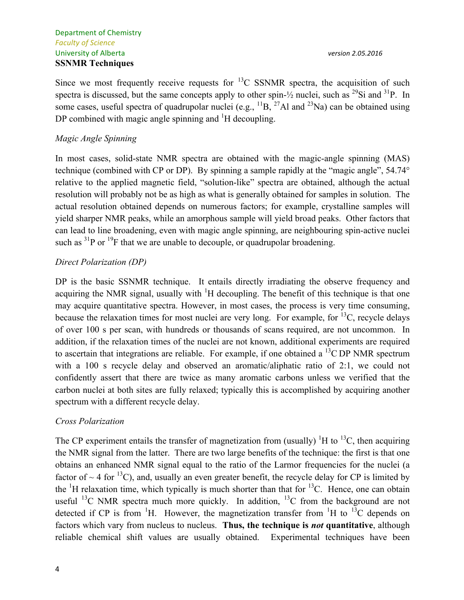Since we most frequently receive requests for  $^{13}$ C SSNMR spectra, the acquisition of such spectra is discussed, but the same concepts apply to other spin- $\frac{1}{2}$  nuclei, such as <sup>29</sup>Si and <sup>31</sup>P. In some cases, useful spectra of quadrupolar nuclei (e.g.,  ${}^{11}B$ ,  ${}^{27}A1$  and  ${}^{23}Na$ ) can be obtained using DP combined with magic angle spinning and  ${}^{1}H$  decoupling.

#### *Magic Angle Spinning*

In most cases, solid-state NMR spectra are obtained with the magic-angle spinning (MAS) technique (combined with CP or DP). By spinning a sample rapidly at the "magic angle", 54.74° relative to the applied magnetic field, "solution-like" spectra are obtained, although the actual resolution will probably not be as high as what is generally obtained for samples in solution. The actual resolution obtained depends on numerous factors; for example, crystalline samples will yield sharper NMR peaks, while an amorphous sample will yield broad peaks. Other factors that can lead to line broadening, even with magic angle spinning, are neighbouring spin-active nuclei such as  ${}^{31}P$  or  ${}^{19}F$  that we are unable to decouple, or quadrupolar broadening.

#### *Direct Polarization (DP)*

DP is the basic SSNMR technique. It entails directly irradiating the observe frequency and acquiring the NMR signal, usually with  $H$  decoupling. The benefit of this technique is that one may acquire quantitative spectra. However, in most cases, the process is very time consuming, because the relaxation times for most nuclei are very long. For example, for  $^{13}C$ , recycle delays of over 100 s per scan, with hundreds or thousands of scans required, are not uncommon. In addition, if the relaxation times of the nuclei are not known, additional experiments are required to ascertain that integrations are reliable. For example, if one obtained a  $^{13}$ C DP NMR spectrum with a 100 s recycle delay and observed an aromatic/aliphatic ratio of 2:1, we could not confidently assert that there are twice as many aromatic carbons unless we verified that the carbon nuclei at both sites are fully relaxed; typically this is accomplished by acquiring another spectrum with a different recycle delay.

#### *Cross Polarization*

The CP experiment entails the transfer of magnetization from (usually)  $\rm{^{1}H}$  to  $\rm{^{13}C}$ , then acquiring the NMR signal from the latter. There are two large benefits of the technique: the first is that one obtains an enhanced NMR signal equal to the ratio of the Larmor frequencies for the nuclei (a factor of  $\sim$  4 for <sup>13</sup>C), and, usually an even greater benefit, the recycle delay for CP is limited by the  ${}^{1}$ H relaxation time, which typically is much shorter than that for  ${}^{13}$ C. Hence, one can obtain useful  $^{13}$ C NMR spectra much more quickly. In addition,  $^{13}$ C from the background are not detected if CP is from <sup>1</sup>H. However, the magnetization transfer from <sup>1</sup>H to <sup>13</sup>C depends on factors which vary from nucleus to nucleus. **Thus, the technique is** *not* **quantitative**, although reliable chemical shift values are usually obtained. Experimental techniques have been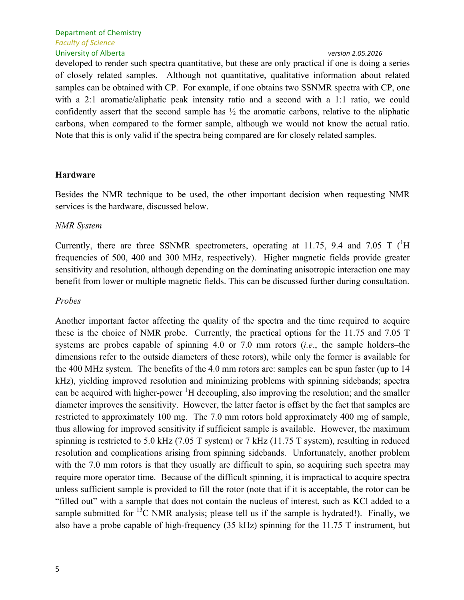#### Department of Chemistry *Faculty of Science* University of Alberta *version 2.05.2016*

developed to render such spectra quantitative, but these are only practical if one is doing a series of closely related samples. Although not quantitative, qualitative information about related samples can be obtained with CP. For example, if one obtains two SSNMR spectra with CP, one with a 2:1 aromatic/aliphatic peak intensity ratio and a second with a 1:1 ratio, we could confidently assert that the second sample has ½ the aromatic carbons, relative to the aliphatic carbons, when compared to the former sample, although we would not know the actual ratio. Note that this is only valid if the spectra being compared are for closely related samples.

# **Hardware**

Besides the NMR technique to be used, the other important decision when requesting NMR services is the hardware, discussed below.

# *NMR System*

Currently, there are three SSNMR spectrometers, operating at 11.75, 9.4 and 7.05 T  $(^1H)$ frequencies of 500, 400 and 300 MHz, respectively). Higher magnetic fields provide greater sensitivity and resolution, although depending on the dominating anisotropic interaction one may benefit from lower or multiple magnetic fields. This can be discussed further during consultation.

# *Probes*

Another important factor affecting the quality of the spectra and the time required to acquire these is the choice of NMR probe. Currently, the practical options for the 11.75 and 7.05 T systems are probes capable of spinning 4.0 or 7.0 mm rotors (*i.e*., the sample holders–the dimensions refer to the outside diameters of these rotors), while only the former is available for the 400 MHz system. The benefits of the 4.0 mm rotors are: samples can be spun faster (up to 14 kHz), yielding improved resolution and minimizing problems with spinning sidebands; spectra can be acquired with higher-power  ${}^{1}H$  decoupling, also improving the resolution; and the smaller diameter improves the sensitivity. However, the latter factor is offset by the fact that samples are restricted to approximately 100 mg. The 7.0 mm rotors hold approximately 400 mg of sample, thus allowing for improved sensitivity if sufficient sample is available. However, the maximum spinning is restricted to 5.0 kHz (7.05 T system) or 7 kHz (11.75 T system), resulting in reduced resolution and complications arising from spinning sidebands. Unfortunately, another problem with the 7.0 mm rotors is that they usually are difficult to spin, so acquiring such spectra may require more operator time. Because of the difficult spinning, it is impractical to acquire spectra unless sufficient sample is provided to fill the rotor (note that if it is acceptable, the rotor can be "filled out" with a sample that does not contain the nucleus of interest, such as KCl added to a sample submitted for  $^{13}$ C NMR analysis; please tell us if the sample is hydrated!). Finally, we also have a probe capable of high-frequency (35 kHz) spinning for the 11.75 T instrument, but